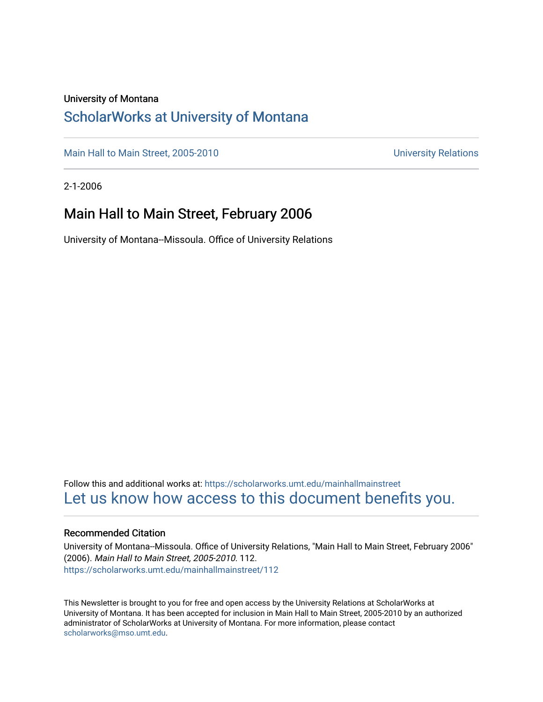#### University of Montana

### [ScholarWorks at University of Montana](https://scholarworks.umt.edu/)

[Main Hall to Main Street, 2005-2010](https://scholarworks.umt.edu/mainhallmainstreet) Main Hall to Main Street, 2005-2010

2-1-2006

### Main Hall to Main Street, February 2006

University of Montana--Missoula. Office of University Relations

Follow this and additional works at: [https://scholarworks.umt.edu/mainhallmainstreet](https://scholarworks.umt.edu/mainhallmainstreet?utm_source=scholarworks.umt.edu%2Fmainhallmainstreet%2F112&utm_medium=PDF&utm_campaign=PDFCoverPages) [Let us know how access to this document benefits you.](https://goo.gl/forms/s2rGfXOLzz71qgsB2) 

#### Recommended Citation

University of Montana--Missoula. Office of University Relations, "Main Hall to Main Street, February 2006" (2006). Main Hall to Main Street, 2005-2010. 112. [https://scholarworks.umt.edu/mainhallmainstreet/112](https://scholarworks.umt.edu/mainhallmainstreet/112?utm_source=scholarworks.umt.edu%2Fmainhallmainstreet%2F112&utm_medium=PDF&utm_campaign=PDFCoverPages)

This Newsletter is brought to you for free and open access by the University Relations at ScholarWorks at University of Montana. It has been accepted for inclusion in Main Hall to Main Street, 2005-2010 by an authorized administrator of ScholarWorks at University of Montana. For more information, please contact [scholarworks@mso.umt.edu.](mailto:scholarworks@mso.umt.edu)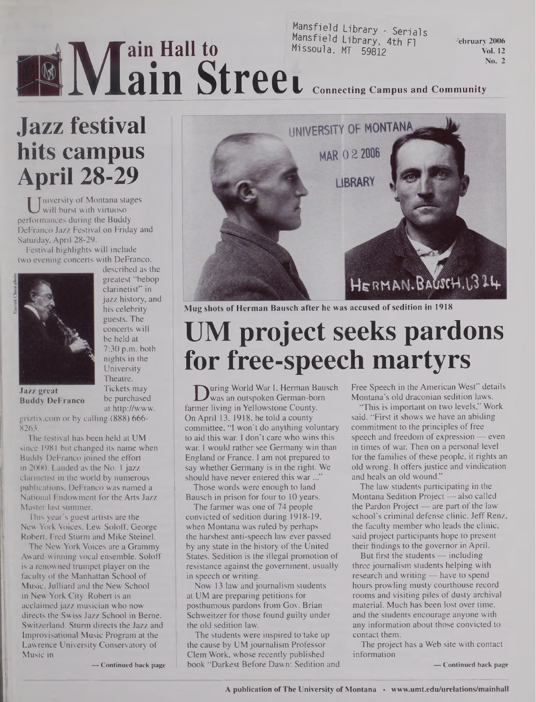### Mansfield Library - Serials<br>Mansfield Library, 4th Fl<br>Missoula, MT 59812  $M$ ansfield Library, 4th Fl $\overline{F}$  February 2006 Missoula, MT 59812 **Vol. 12**

**No.** 2

# I **Connecting Campus and Community**

# **WIE Jazz festival hits campus April 28-29**

Weishly of Montana stages<br>will burst with virtuoso<br>rformances during the Buddy niversity of Montana stages will burst with virtuoso DeFranco Jazz Festival on Friday and Saturday, April 28-29.

Festival highlights will include two evening concerts with DeFranco,



described as the greatest "bebop clarinetist" in jazz history, and his celebrity guests. The concerts will be held at 7:30 p.m. both nights in the University Theatre. Tickets may be purchased

**ain Hall to**

**ain Stree**

Jazz great Buddy DeFranco

at http://www. <griztix.com> or by calling (888) 666- 8263.

The festival has been held at UM since 1981 but changed its name when Buddy DeFranco joined the effort in 2000. Lauded as the No. 1 jazz clarinetist in the world by numerous publications, DeFranco was named a National Endowment for the Arts Jazz Master last summer.

This year's guest artists are the New York Voices, Lew Soloff, George Robert, Fred Sturm and Mike Steinel.

The New York Voices are a Grammy Award-winning vocal ensemble. Soloff is a renowned trumpet player on the faculty of the Manhattan School of Music, Julliard and the New School in New York City. Robert is an acclaimed jazz musician who now directs the Swiss Jazz School in Berne, Switzerland. Sturm directs the Jazz and Improvisational Music Program at the Lawrence University Conservatory of Music in

**— Continued back page**



Mug shots of Herman Bausch after he was accused of sedition in 1918

# **UM project seeks pardons for free-speech martyrs**

**D**uring World War I, Herman Bausch<br>was an outspoken German-born<br>rmer living in Yellowstone County. was an outspoken German-born farmer living in Yellowstone County. On April 13, 1918, he told a county committee, "I won't do anything voluntary to aid this war. I don't care who wins this war. I would rather see Germany win than England or France. I am not prepared to say whether Germany is in the right. We should have never entered this war..."

Those words were enough to land Bausch in prison for four to 10 years.

The farmer was one of 74 people convicted of sedition during 1918-19, when Montana was ruled by perhaps the harshest anti-speech law ever passed by any state in the history of the United States. Sedition is the illegal promotion of resistance against the government, usually in speech or writing.

Now 13 law and journalism students at UM are preparing petitions for posthumous pardons from Gov. Brian Schweitzer for those found guilty under the old sedition law.

The students were inspired to take up the cause by UM journalism Professor Clem Work, whose recently published book "Darkest Before Dawn: Sedition and Free Speech in the American West" details Montana's old draconian sedition laws.

"This is important on two levels," Work said. "First it shows we have an abiding commitment to the principles of free speech and freedom of expression — even in times of war. Then on a personal level for the families of these people, it rights an old wrong. It offers justice and vindication and heals an old wound."

The law students participating in the Montana Sedition Project — also called the Pardon Project — are part of the law school's criminal defense clinic. Jeff Renz, the faculty member who leads the clinic, said project participants hope to present their findings to the governor in April.

But first the students — including three journalism students helping with research and writing — have to spend hours prowling musty courthouse record rooms and visiting piles of dusty archival material. Much has been lost over time, and the students encourage anyone with any information about those convicted to contact them.

The project has a Web site with contact information

**— Continued back page**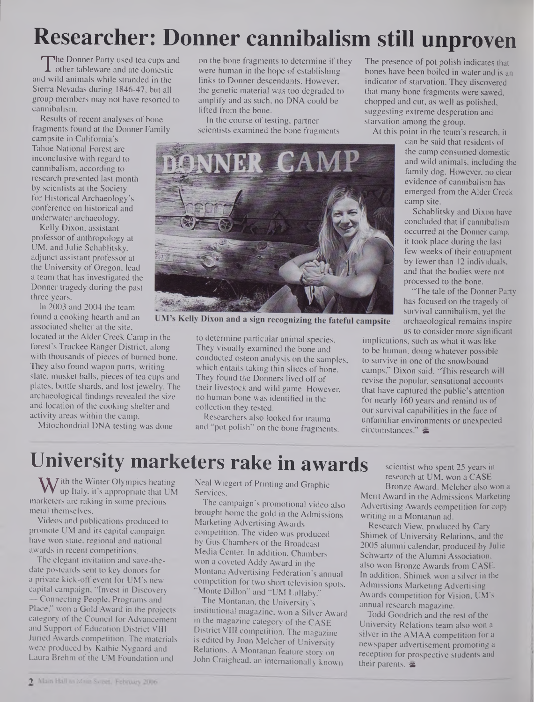# **Researcher: Donner cannibalism still unproven**

The Donner Party used tea cups are<br>d wild animals while stranded in the The Donner Party used tea cups and and wild animals while stranded in the Sierra Nevadas during 1846-47, but all group members may not have resorted to cannibalism.

Results of recent analyses of bone fragments found at the Donner Family

campsite in California's Tahoe National Forest are inconclusive with regard to cannibalism, according to research presented last month by scientists at the Society for Historical Archaeology's conference on historical and underwater archaeology.

Kelly Dixon, assistant professor of anthropology at UM, and Julie Schablitsky, adjunct assistant professor at the University of Oregon, lead a team that has investigated the Donner tragedy during the past three years.

In 2003 and 2004 the team found a cooking hearth and an associated shelter at the site,

located at the Alder Creek Camp in the forest's Truckee Ranger District, along with thousands of pieces of burned bone. They also found wagon parts, writing slate, musket balls, pieces of tea cups and plates, bottle shards, and lost jewelry. The archaeological findings revealed the size and location of the cooking shelter and activity areas within the camp.

Mitochondrial DNA testing was done

on the bone fragments to determine if they were human in the hope of establishing links to Donner descendants. However, the genetic material was too degraded to amplify and as such, no DNA could be lifted from the bone.

In the course of testing, partner scientists examined the bone fragments



**UM's Kelly Dixon and a sign recognizing the fateful campsite**

to determine particular animal species. They visually examined the bone and conducted osteon analysis on the samples, which entails taking thin slices of bone. They found the Donners lived off of their livestock and wild game. However, no human bone was identified in the collection they tested.

Researchers also looked for trauma and 'pot polish" on the bone fragments.

The presence of pot polish indicates that bones have been boiled in water and is an indicator of starvation. They discovered that many bone fragments were sawed, chopped and cut, as well as polished, suggesting extreme desperation and starvation among the group.

At this point in the team's research, it

can be said that residents of the camp consumed domestic and wild animals, including the family dog. However, no clear evidence of cannibalism has emerged from the Alder Creek camp site.

Schablitsky and Dixon have concluded that if cannibalism occurred at the Donner camp, it took place during the last few weeks of their entrapment by fewer than 12 individuals, and that the bodies were not processed to the bone.

"The tale of the Donner Party has focused on the tragedy of survival cannibalism, yet the archaeological remains inspire us to consider more significant

implications, such as what it was like to be human, doing whatever possible to survive in one of the snowbound camps," Dixon said. "This research will revise the popular, sensational accounts that have captured the public's attention for nearly 160 years and remind us of our survival capabilities in the face of unfamiliar environments or unexpected circumstances."

### **University marketers rake in awards**

 $\bf{W}$ ith the Winter Olympics heating<br>up Italy, it's appropriate that UN<br>urketers are raking in some precious up Italy, it's appropriate that UM marketers are raking in some precious metal themselves.

Videos and publications produced to promote UM and its capital campaign have won state, regional and national awards in recent competitions.

The elegant invitation and save-thedate postcards sent to key donors for a private kick-off event for UM's new capital campaign, "Invest in Discovery — Connecting People, Programs and Place," won a Gold Award in the projects category of the Council for Advancement and Support of Education District VIII Juried Awards competition. The materials were produced by Kathie Nygaard and Laura Brehm of the UM Foundation and

Neal Wiegert of Printing and Graphic Services.

The campaign's promotional video also brought home the gold in the Admissions Marketing Advertising Awards competition. The video was produced by Gus Chambers of the Broadcast Media Center. In addition, Chambers won a coveted Addy Award in the Montana Advertising Federation's annual competition for two short television spots, "Monte Dillon" and "UM Lullaby."

The Montanan, the University's institutional magazine, won a Silver Award in the magazine category of the CASE District VIII competition. The magazine is edited by Joan Melcher of University Relations. A Montanan feature story on John Craighead, an internationally known

scientist who spent 25 years in research at UM, won a CASE

Bronze Award. Melcher also won a Merit Award in the Admissions Marketing Advertising Awards competition for copy writing in a Montanan ad.

Research View, produced by Cary Shimek of University Relations, and the 2005 alumni calendar, produced by Julie Schwartz of the Alumni Association, also won Bronze Awards from CASE. In addition, Shimek won a silver in the Admissions Marketing Advertising Awards competition for Vision, UM's annual research magazine.

Todd Goodrich and the rest of the University Relations team also won a silver in the AMAA competition for a newspaper advertisement promoting a reception for prospective students and their parents.  $\approx$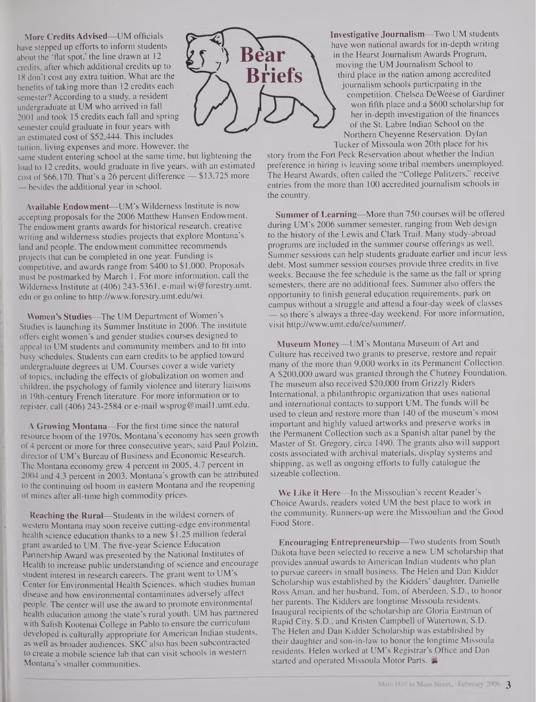**More Credits Advised—**UM officials have stepped up efforts to inform students about the 'flat spot,' the line drawn at 12 credits, after which additional credits up to 18 don't cost any extra tuition. What are the benefits of taking more than 12 credits each semester? According to a study, a resident undergraduate at UM who arrived in fall 2001 and took 15 credits each fall and spring semester could graduate in four years with an estimated cost of \$52,444. This includes tuition, living expenses and more. However, the

same student entering school at the same time, but lightening the load to 12 credits, would graduate in five years, with an estimated cost of \$66,170. That's a 26 percent difference — \$13,725 more — besides the additional year in school.

Available Endowment—UM's Wilderness Institute is now accepting proposals for the 2006 Matthew Hansen Endowment. The endowment grants awards for historical research, creative writing and wilderness studies projects that explore Montana's land and people. The endowment committee recommends projects that can be completed in one year. Funding is competitive, and awards range from \$400 to \$1,000. Proposals must be postmarked by March 1. For more information, call the Wilderness Institute at (406) 243-5361, e-mail [wi@forestry.umt](mailto:wi@forestry.umt). edu or go online to <http://www.forestry.umt.edu/wi>.

Women's Studies—The UM Department of Women's Studies is launching its Summer Institute in 2006. The institute offers eight women's and gender studies courses designed to appeal to UM students and community members and to fit into busy schedules. Students can earn credits to be applied toward undergraduate degrees at UM. Courses cover a wide variety of topics, including the effects of globalization on women and children, the psychology of family violence and literary liaisons in 19th-century French literature. For more information or to register, call (406) 243-2584 or e-mail wsprog@mail <sup>1</sup> .<umt.edu>.

A Growing Montana—For the first time since the natural resource boom of the 1970s, Montana's economy has seen growth of 4 percent or more for three consecutive years, said Paul Polzin, director of UM's Bureau of Business and Economic Research. The Montana economy grew 4 percent in 2005, 4.7 percent in 2004 and 4.3 percent in 2003. Montana's growth can be attributed to the continuing oil boom in eastern Montana and the reopening of mines after all-time high commodity prices.

Reaching the Rural—Students in the wildest corners of western Montana may soon receive cutting-edge environmental health science education thanks to a new \$1.25 million federal grant awarded to UM. The five-year Science Education Partnership Award was presented by the National Institutes of Health to increase public understanding of science and encourage student interest in research careers. The grant went to UM's Center for Environmental Health Sciences, which studies human disease and how environmental contaminates adversely affect people. The center will use the award to promote environmental health education among the state's rural youth. UM has partnered with Salish Kootenai College in Pablo to ensure the curriculum developed is culturally appropriate for American Indian students, as well as broader audiences. SKC also has been subcontracted to create a mobile science lab that can visit schools in western Montana's smaller communities.



Investigative Journalism—Two UM students have won national awards for in-depth writing in the Hearst Journalism Awards Program, moving the UM Journalism School to third place in the nation among accredited journalism schools participating in the competition. Chelsea DeWeese of Gardiner won fifth place and a \$600 scholarship for her in-depth investigation of the finances of the St. Labre Indian School on the Northern Cheyenne Reservation. Dylan Tucker of Missoula won 20th place for his

story from the Fort Peck Reservation about whether the Indian preference in hiring is leaving some tribal members unemployed. The Hearst Awards, often called the "College Pulitzers," receive entries from the more than 100 accredited journalism schools in the country.

Summer of Learning—More than 750 courses will be offered during UM's 2006 summer semester, ranging from Web design to the history of the Lewis and Clark Trail. Many study-abroad programs are included in the summer course offerings as well. Summer sessions can help students graduate earlier and incur less debt. Most summer session courses provide three credits in five weeks. Because the fee schedule is the same as the fall or spring semesters, there are no additional fees. Summer also offers the opportunity to finish general education requirements, park on campus without a struggle and attend a four-day week of classes — so there's always a three-day weekend. For more information, visit <http://www.umt.edu/ce/summer/>.

Museum Money—UM's Montana Museum of Art and Culture has received two grants to preserve, restore and repair many of the more than 9,000 works in its Permanent Collection. A \$200,000 award was granted through the Chutney Foundation. The museum also received \$20,000 from Grizzly Riders International, a philanthropic organization that uses national and international contacts to support UM. The funds will be used to clean and restore more than 140 of the museum's most important and highly valued artworks and preserve works in the Permanent Collection such as a Spanish altar panel by the Master of St. Gregory, circa 1490. The grants also will support costs associated with archival materials, display systems and shipping, as well as ongoing efforts to fully catalogue the sizeable collection.

We Like it Here—In the Missoulian's recent Reader's Choice Awards, readers voted UM the best place to work in the community. Runners-up were the Missoulian and the Good Food Store.

Encouraging Entrepreneurship—Two students from South Dakota have been selected to receive a new UM scholarship that provides annual awards to American Indian students who plan to pursue careers in small business. The Helen and Dan Kidder Scholarship was established by the Kidders' daughter, Danielle Ross Aman, and her husband, Tom, of Aberdeen, S.D., to honor her parents. The Kidders are longtime Missoula residents. Inaugural recipients of the scholarship are Gloria Eastman of Rapid City, S.D., and Kristen Campbell of Watertown, S.D. The Helen and Dan Kidder Scholarship was established by their daughter and son-in-law to honor the longtime Missoula residents. Helen worked at UM's Registrar's Office and Dan started and operated Missoula Motor Parts.